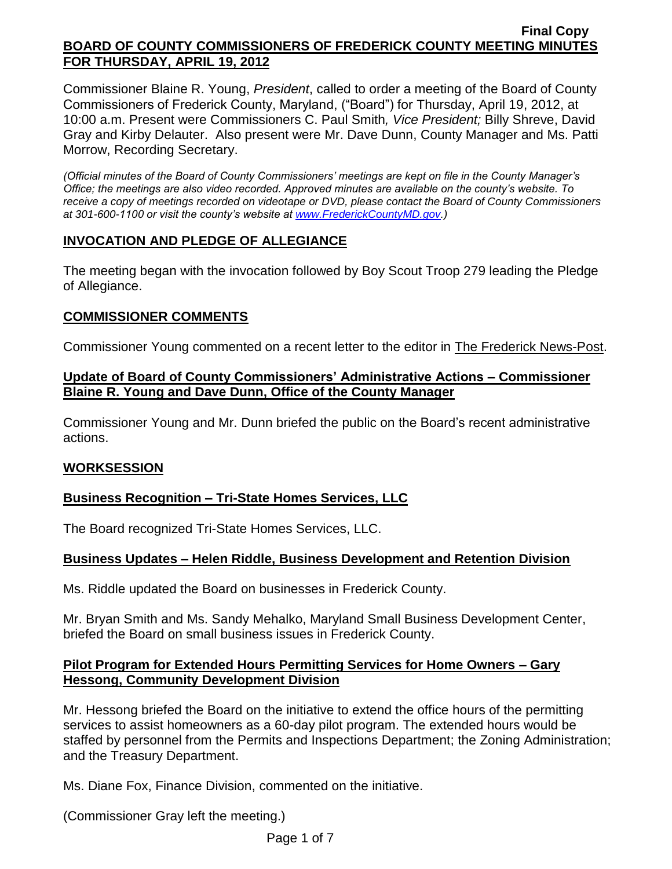Commissioner Blaine R. Young, *President*, called to order a meeting of the Board of County Commissioners of Frederick County, Maryland, ("Board") for Thursday, April 19, 2012, at 10:00 a.m. Present were Commissioners C. Paul Smith*, Vice President;* Billy Shreve, David Gray and Kirby Delauter. Also present were Mr. Dave Dunn, County Manager and Ms. Patti Morrow, Recording Secretary.

*(Official minutes of the Board of County Commissioners' meetings are kept on file in the County Manager's Office; the meetings are also video recorded. Approved minutes are available on the county's website. To receive a copy of meetings recorded on videotape or DVD, please contact the Board of County Commissioners at 301-600-1100 or visit the county's website at [www.FrederickCountyMD.gov.](http://www.frederickcountymd.gov/))*

# **INVOCATION AND PLEDGE OF ALLEGIANCE**

The meeting began with the invocation followed by Boy Scout Troop 279 leading the Pledge of Allegiance.

# **COMMISSIONER COMMENTS**

Commissioner Young commented on a recent letter to the editor in The Frederick News-Post.

# **Update of Board of County Commissioners' Administrative Actions – Commissioner Blaine R. Young and Dave Dunn, Office of the County Manager**

Commissioner Young and Mr. Dunn briefed the public on the Board's recent administrative actions.

## **WORKSESSION**

# **Business Recognition – Tri-State Homes Services, LLC**

The Board recognized Tri-State Homes Services, LLC.

# **Business Updates – Helen Riddle, Business Development and Retention Division**

Ms. Riddle updated the Board on businesses in Frederick County.

Mr. Bryan Smith and Ms. Sandy Mehalko, Maryland Small Business Development Center, briefed the Board on small business issues in Frederick County.

# **Pilot Program for Extended Hours Permitting Services for Home Owners – Gary Hessong, Community Development Division**

Mr. Hessong briefed the Board on the initiative to extend the office hours of the permitting services to assist homeowners as a 60-day pilot program. The extended hours would be staffed by personnel from the Permits and Inspections Department; the Zoning Administration; and the Treasury Department.

Ms. Diane Fox, Finance Division, commented on the initiative.

(Commissioner Gray left the meeting.)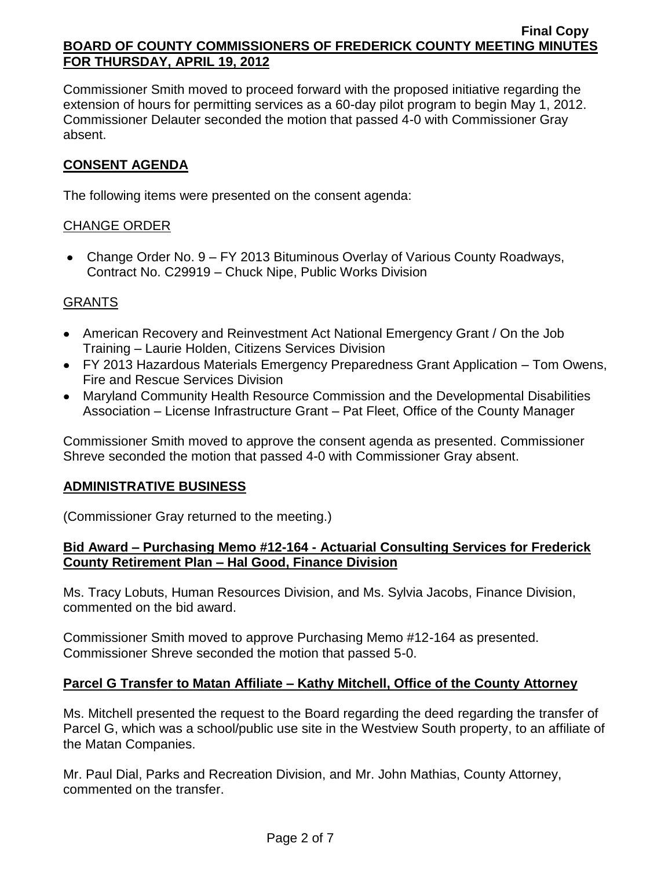Commissioner Smith moved to proceed forward with the proposed initiative regarding the extension of hours for permitting services as a 60-day pilot program to begin May 1, 2012. Commissioner Delauter seconded the motion that passed 4-0 with Commissioner Gray absent.

# **CONSENT AGENDA**

The following items were presented on the consent agenda:

## CHANGE ORDER

Change Order No. 9 – FY 2013 Bituminous Overlay of Various County Roadways, Contract No. C29919 – Chuck Nipe, Public Works Division

## GRANTS

- American Recovery and Reinvestment Act National Emergency Grant / On the Job Training – Laurie Holden, Citizens Services Division
- FY 2013 Hazardous Materials Emergency Preparedness Grant Application Tom Owens, Fire and Rescue Services Division
- Maryland Community Health Resource Commission and the Developmental Disabilities Association – License Infrastructure Grant – Pat Fleet, Office of the County Manager

Commissioner Smith moved to approve the consent agenda as presented. Commissioner Shreve seconded the motion that passed 4-0 with Commissioner Gray absent.

#### **ADMINISTRATIVE BUSINESS**

(Commissioner Gray returned to the meeting.)

## **Bid Award – Purchasing Memo #12-164 - Actuarial Consulting Services for Frederick County Retirement Plan – Hal Good, Finance Division**

Ms. Tracy Lobuts, Human Resources Division, and Ms. Sylvia Jacobs, Finance Division, commented on the bid award.

Commissioner Smith moved to approve Purchasing Memo #12-164 as presented. Commissioner Shreve seconded the motion that passed 5-0.

## **Parcel G Transfer to Matan Affiliate – Kathy Mitchell, Office of the County Attorney**

Ms. Mitchell presented the request to the Board regarding the deed regarding the transfer of Parcel G, which was a school/public use site in the Westview South property, to an affiliate of the Matan Companies.

Mr. Paul Dial, Parks and Recreation Division, and Mr. John Mathias, County Attorney, commented on the transfer.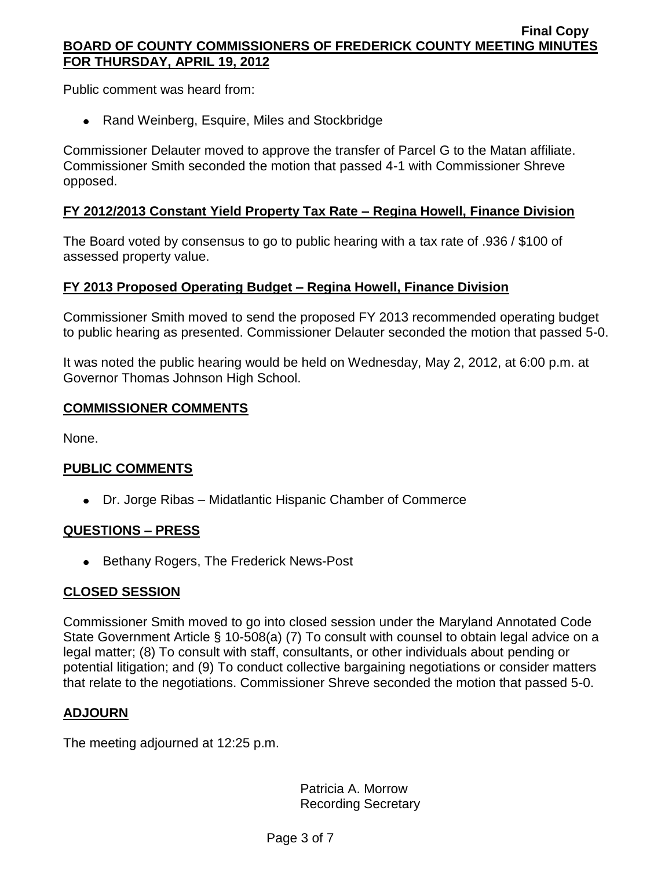Public comment was heard from:

• Rand Weinberg, Esquire, Miles and Stockbridge

Commissioner Delauter moved to approve the transfer of Parcel G to the Matan affiliate. Commissioner Smith seconded the motion that passed 4-1 with Commissioner Shreve opposed.

# **FY 2012/2013 Constant Yield Property Tax Rate – Regina Howell, Finance Division**

The Board voted by consensus to go to public hearing with a tax rate of .936 / \$100 of assessed property value.

## **FY 2013 Proposed Operating Budget – Regina Howell, Finance Division**

Commissioner Smith moved to send the proposed FY 2013 recommended operating budget to public hearing as presented. Commissioner Delauter seconded the motion that passed 5-0.

It was noted the public hearing would be held on Wednesday, May 2, 2012, at 6:00 p.m. at Governor Thomas Johnson High School.

#### **COMMISSIONER COMMENTS**

None.

## **PUBLIC COMMENTS**

Dr. Jorge Ribas – Midatlantic Hispanic Chamber of Commerce

## **QUESTIONS – PRESS**

• Bethany Rogers, The Frederick News-Post

## **CLOSED SESSION**

Commissioner Smith moved to go into closed session under the Maryland Annotated Code State Government Article § 10-508(a) (7) To consult with counsel to obtain legal advice on a legal matter; (8) To consult with staff, consultants, or other individuals about pending or potential litigation; and (9) To conduct collective bargaining negotiations or consider matters that relate to the negotiations. Commissioner Shreve seconded the motion that passed 5-0.

## **ADJOURN**

The meeting adjourned at 12:25 p.m.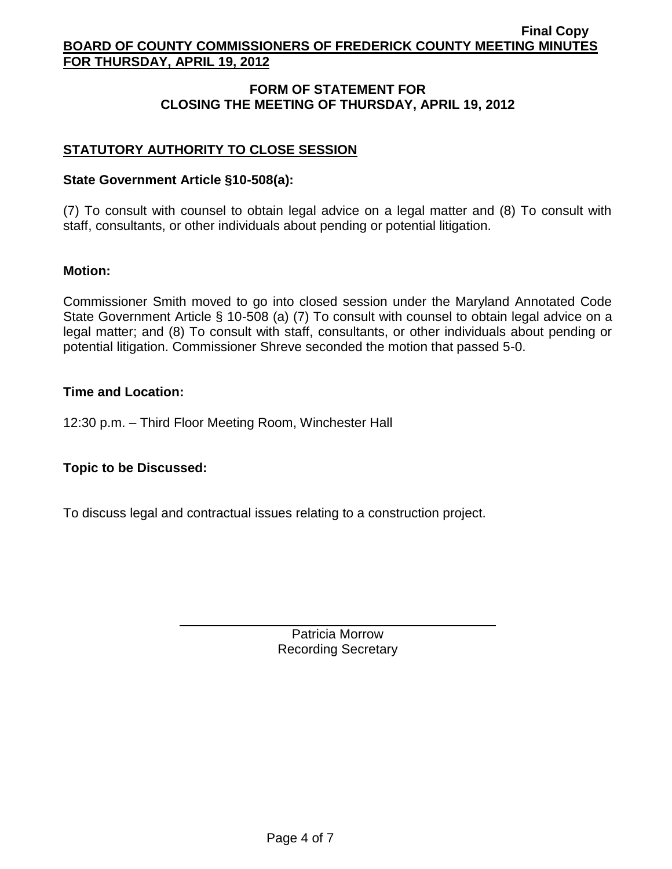# **FORM OF STATEMENT FOR CLOSING THE MEETING OF THURSDAY, APRIL 19, 2012**

# **STATUTORY AUTHORITY TO CLOSE SESSION**

### **State Government Article §10-508(a):**

(7) To consult with counsel to obtain legal advice on a legal matter and (8) To consult with staff, consultants, or other individuals about pending or potential litigation.

### **Motion:**

Commissioner Smith moved to go into closed session under the Maryland Annotated Code State Government Article § 10-508 (a) (7) To consult with counsel to obtain legal advice on a legal matter; and (8) To consult with staff, consultants, or other individuals about pending or potential litigation. Commissioner Shreve seconded the motion that passed 5-0.

### **Time and Location:**

12:30 p.m. – Third Floor Meeting Room, Winchester Hall

## **Topic to be Discussed:**

To discuss legal and contractual issues relating to a construction project.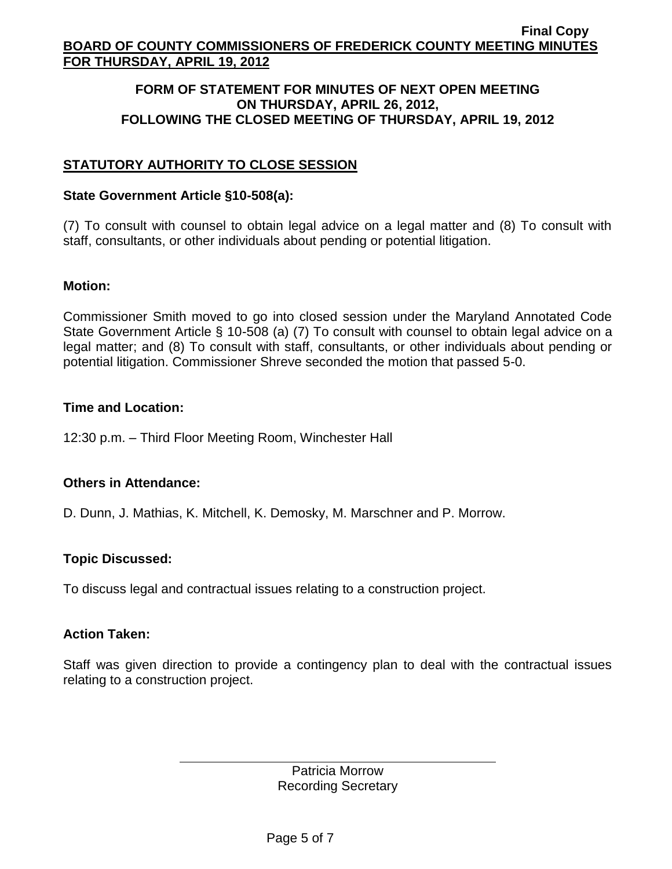### **FORM OF STATEMENT FOR MINUTES OF NEXT OPEN MEETING ON THURSDAY, APRIL 26, 2012, FOLLOWING THE CLOSED MEETING OF THURSDAY, APRIL 19, 2012**

# **STATUTORY AUTHORITY TO CLOSE SESSION**

### **State Government Article §10-508(a):**

(7) To consult with counsel to obtain legal advice on a legal matter and (8) To consult with staff, consultants, or other individuals about pending or potential litigation.

### **Motion:**

Commissioner Smith moved to go into closed session under the Maryland Annotated Code State Government Article § 10-508 (a) (7) To consult with counsel to obtain legal advice on a legal matter; and (8) To consult with staff, consultants, or other individuals about pending or potential litigation. Commissioner Shreve seconded the motion that passed 5-0.

### **Time and Location:**

12:30 p.m. – Third Floor Meeting Room, Winchester Hall

## **Others in Attendance:**

D. Dunn, J. Mathias, K. Mitchell, K. Demosky, M. Marschner and P. Morrow.

## **Topic Discussed:**

To discuss legal and contractual issues relating to a construction project.

## **Action Taken:**

Staff was given direction to provide a contingency plan to deal with the contractual issues relating to a construction project.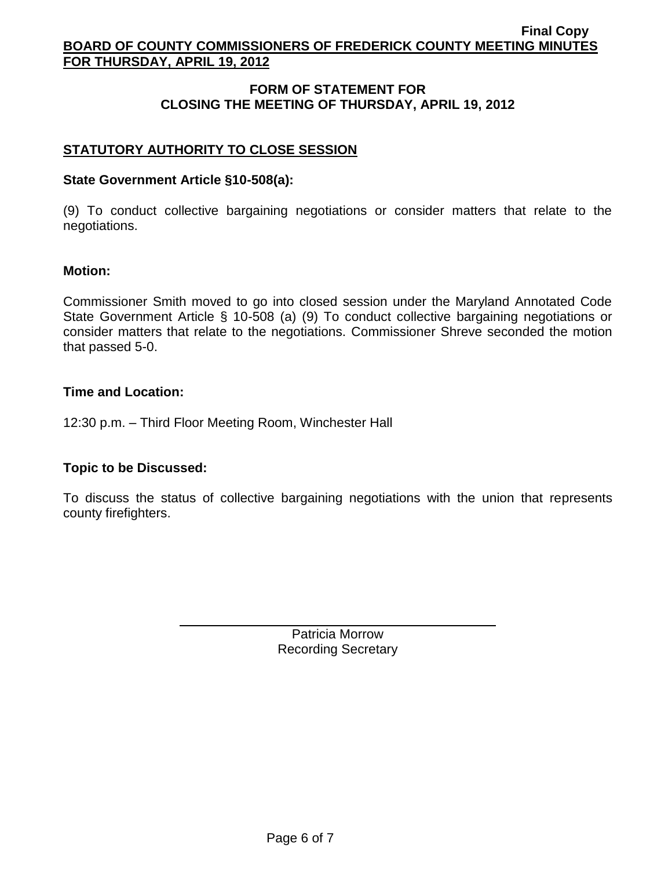# **FORM OF STATEMENT FOR CLOSING THE MEETING OF THURSDAY, APRIL 19, 2012**

# **STATUTORY AUTHORITY TO CLOSE SESSION**

### **State Government Article §10-508(a):**

(9) To conduct collective bargaining negotiations or consider matters that relate to the negotiations.

### **Motion:**

Commissioner Smith moved to go into closed session under the Maryland Annotated Code State Government Article § 10-508 (a) (9) To conduct collective bargaining negotiations or consider matters that relate to the negotiations. Commissioner Shreve seconded the motion that passed 5-0.

### **Time and Location:**

12:30 p.m. – Third Floor Meeting Room, Winchester Hall

## **Topic to be Discussed:**

To discuss the status of collective bargaining negotiations with the union that represents county firefighters.